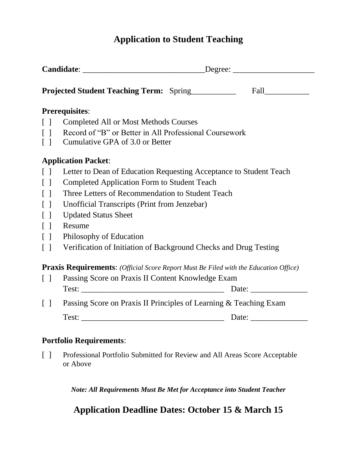# **Application to Student Teaching**

| <b>Projected Student Teaching Term:</b> Spring |                                                                                             |  |  |  |
|------------------------------------------------|---------------------------------------------------------------------------------------------|--|--|--|
|                                                |                                                                                             |  |  |  |
|                                                | <b>Prerequisites:</b>                                                                       |  |  |  |
| $\lceil$ $\rceil$                              | <b>Completed All or Most Methods Courses</b>                                                |  |  |  |
| $\Box$                                         | Record of "B" or Better in All Professional Coursework                                      |  |  |  |
| $\Box$                                         | Cumulative GPA of 3.0 or Better                                                             |  |  |  |
|                                                | <b>Application Packet:</b>                                                                  |  |  |  |
| $\Box$                                         | Letter to Dean of Education Requesting Acceptance to Student Teach                          |  |  |  |
| $\Box$                                         | <b>Completed Application Form to Student Teach</b>                                          |  |  |  |
| $\lceil$ $\rceil$                              | Three Letters of Recommendation to Student Teach                                            |  |  |  |
| $\lceil$ $\rceil$                              | Unofficial Transcripts (Print from Jenzebar)                                                |  |  |  |
| $\lceil$ $\rceil$                              | <b>Updated Status Sheet</b>                                                                 |  |  |  |
| $\lceil$ $\rceil$                              | Resume                                                                                      |  |  |  |
| $\lceil$                                       | Philosophy of Education                                                                     |  |  |  |
| $\Box$                                         | Verification of Initiation of Background Checks and Drug Testing                            |  |  |  |
|                                                | <b>Praxis Requirements:</b> (Official Score Report Must Be Filed with the Education Office) |  |  |  |
| $\Box$                                         | Passing Score on Praxis II Content Knowledge Exam                                           |  |  |  |
|                                                |                                                                                             |  |  |  |
| $\Box$                                         | Passing Score on Praxis II Principles of Learning & Teaching Exam                           |  |  |  |
|                                                |                                                                                             |  |  |  |
|                                                | <b>Portfolio Requirements:</b>                                                              |  |  |  |

[ ] Professional Portfolio Submitted for Review and All Areas Score Acceptable or Above

*Note: All Requirements Must Be Met for Acceptance into Student Teacher*

# **Application Deadline Dates: October 15 & March 15**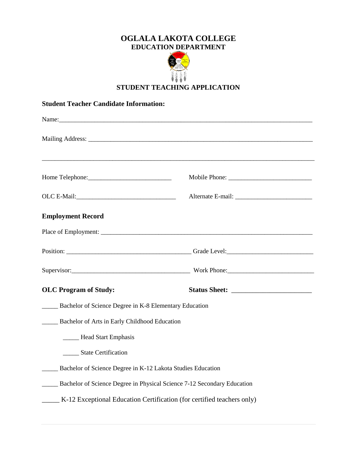## **OGLALA LAKOTA COLLEGE EDUCATION DEPARTMENT**



## **STUDENT TEACHING APPLICATION**

### **Student Teacher Candidate Information:**

| <b>Employment Record</b>                                                |  |  |  |  |  |
|-------------------------------------------------------------------------|--|--|--|--|--|
|                                                                         |  |  |  |  |  |
|                                                                         |  |  |  |  |  |
|                                                                         |  |  |  |  |  |
| <b>OLC Program of Study:</b>                                            |  |  |  |  |  |
| Bachelor of Science Degree in K-8 Elementary Education                  |  |  |  |  |  |
| Bachelor of Arts in Early Childhood Education                           |  |  |  |  |  |
| ______ Head Start Emphasis                                              |  |  |  |  |  |
| State Certification                                                     |  |  |  |  |  |
| Bachelor of Science Degree in K-12 Lakota Studies Education             |  |  |  |  |  |
| Bachelor of Science Degree in Physical Science 7-12 Secondary Education |  |  |  |  |  |
| K-12 Exceptional Education Certification (for certified teachers only)  |  |  |  |  |  |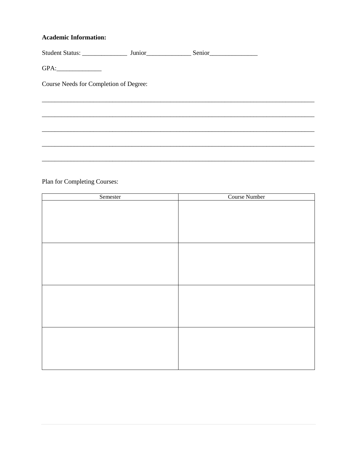### **Academic Information:**

| Student Status: ________________       | Junior <sub>____________________________</sub> |  |
|----------------------------------------|------------------------------------------------|--|
|                                        |                                                |  |
| Course Needs for Completion of Degree: |                                                |  |
|                                        |                                                |  |
|                                        |                                                |  |

\_\_\_\_\_\_\_\_\_\_\_\_\_\_

\_\_\_\_\_\_\_

L.

# Plan for Completing Courses:

| Semester | Course Number |
|----------|---------------|
|          |               |
|          |               |
|          |               |
|          |               |
|          |               |
|          |               |
|          |               |
|          |               |
|          |               |
|          |               |
|          |               |
|          |               |
|          |               |
|          |               |
|          |               |
|          |               |
|          |               |
|          |               |
|          |               |
|          |               |
|          |               |
|          |               |
|          |               |
|          |               |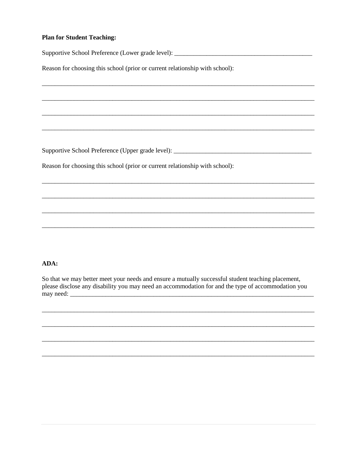#### **Plan for Student Teaching:**

Reason for choosing this school (prior or current relationship with school):

Reason for choosing this school (prior or current relationship with school):

#### ADA:

So that we may better meet your needs and ensure a mutually successful student teaching placement, please disclose any disability you may need an accommodation for and the type of accommodation you may need:

<u> 1989 - John Stone, Amerikaansk politiker († 1908)</u>